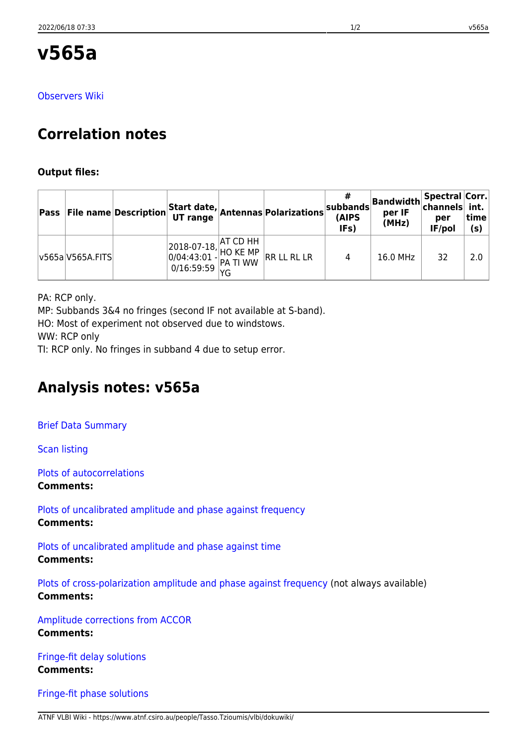[Observers Wiki](http://www.atnf.csiro.au/vlbi/dokuwiki/doku.php/lbaops/lbaJul2018/v565a)

# **Correlation notes**

### **Output files:**

|                  | <b>Pass File name Description</b> |  | Start date, Antennas Polarizations                                                                                                                                                                                | (AIPS<br>IFs) | $\begin{array}{c c c c} & # & \text{Bandwidth} & \text{Spectral Corr.} \\ & \text{subbands} & \text{max IF} & \text{channels} & \text{int.} \\ \end{array}$<br>per IF<br>(MHz) | per<br>IF/pol | ˈtime<br>(s) |
|------------------|-----------------------------------|--|-------------------------------------------------------------------------------------------------------------------------------------------------------------------------------------------------------------------|---------------|--------------------------------------------------------------------------------------------------------------------------------------------------------------------------------|---------------|--------------|
| v565a V565A.FITS |                                   |  | $\begin{array}{ l l l } \hline 2018-07-18, &\hline \text{AT CD HH} &\hline 0/04:43:01 - \text{HO KE MP} &\hline \text{RR LL RL LR} \\ \hline 0/16:59:59 & \text{PA TI WW} &\hline \text{RR LL RL LR} \end{array}$ | 4             | 16.0 MHz                                                                                                                                                                       | 32            | 2.0          |

PA: RCP only.

MP: Subbands 3&4 no fringes (second IF not available at S-band).

HO: Most of experiment not observed due to windstows.

WW: RCP only

TI: RCP only. No fringes in subband 4 due to setup error.

# **Analysis notes: v565a**

[Brief Data Summary](ftp://ftp.atnf.csiro.au/pub/people/vlbi/pipeline/v565a/v565a.DTSUM)

[Scan listing](ftp://ftp.atnf.csiro.au/pub/people/vlbi/pipeline/v565a/v565a.SCAN)

[Plots of autocorrelations](ftp://ftp.atnf.csiro.au/pub/people/vlbi/pipeline/v565a/v565a_POSSM_AUTOCORR.pdf)

**Comments:**

[Plots of uncalibrated amplitude and phase against frequency](ftp://ftp.atnf.csiro.au/pub/people/vlbi/pipeline/v565a/v565a_POSSM_UNCAL.pdf) **Comments:**

[Plots of uncalibrated amplitude and phase against time](ftp://ftp.atnf.csiro.au/pub/people/vlbi/pipeline/v565a/v565a_VPLOT_UNCAL.pdf) **Comments:**

[Plots of cross-polarization amplitude and phase against frequency](ftp://ftp.atnf.csiro.au/pub/people/vlbi/pipeline/v565a/v565a_POSSM_CPOL.pdf) (not always available) **Comments:**

[Amplitude corrections from ACCOR](ftp://ftp.atnf.csiro.au/pub/people/vlbi/pipeline/v565a/v565a_ACCOR.pdf) **Comments:**

[Fringe-fit delay solutions](ftp://ftp.atnf.csiro.au/pub/people/vlbi/pipeline/v565a/v565a_FRING_DELAY.pdf) **Comments:**

[Fringe-fit phase solutions](ftp://ftp.atnf.csiro.au/pub/people/vlbi/pipeline/v565a/v565a_FRING_PHAS.pdf)